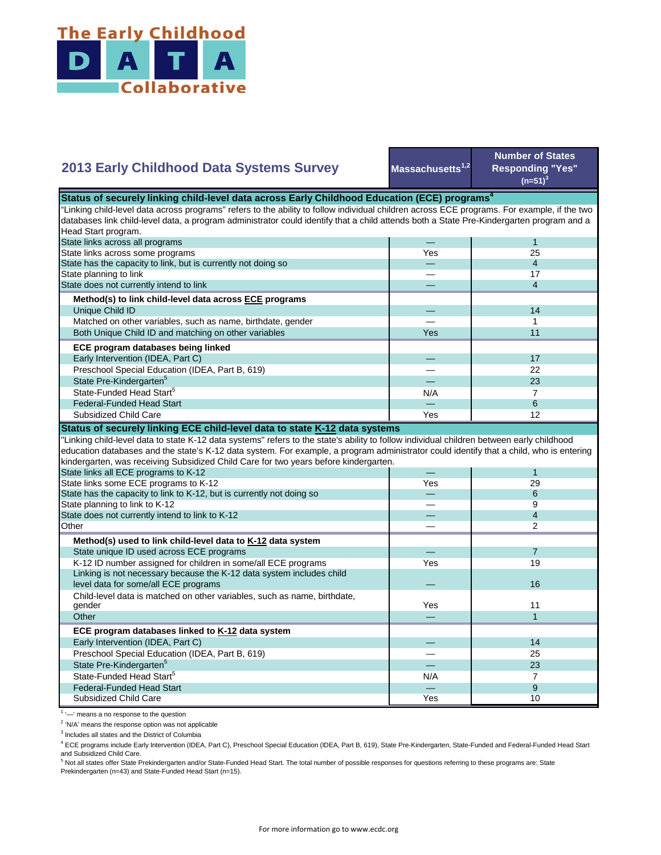

## **2013 Early Childhood Data Systems Survey**

**Massachusetts1,2**

**Number of States Responding "Yes"**   $(n=51)^3$ 

| Status of securely linking child-level data across Early Childhood Education (ECE) programs <sup>4</sup>                                    |     |                |  |
|---------------------------------------------------------------------------------------------------------------------------------------------|-----|----------------|--|
| "Linking child-level data across programs" refers to the ability to follow individual children across ECE programs. For example, if the two |     |                |  |
| databases link child-level data, a program administrator could identify that a child attends both a State Pre-Kindergarten program and a    |     |                |  |
| Head Start program.                                                                                                                         |     |                |  |
| State links across all programs                                                                                                             |     | $\mathbf{1}$   |  |
| State links across some programs                                                                                                            | Yes | 25             |  |
| State has the capacity to link, but is currently not doing so                                                                               |     | $\overline{4}$ |  |
| State planning to link                                                                                                                      |     | 17             |  |
| State does not currently intend to link                                                                                                     |     | $\overline{4}$ |  |
| Method(s) to link child-level data across ECE programs                                                                                      |     |                |  |
| Unique Child ID                                                                                                                             |     | 14             |  |
| Matched on other variables, such as name, birthdate, gender                                                                                 |     | 1              |  |
| Both Unique Child ID and matching on other variables                                                                                        | Yes | 11             |  |
| ECE program databases being linked                                                                                                          |     |                |  |
| Early Intervention (IDEA, Part C)                                                                                                           |     | 17             |  |
| Preschool Special Education (IDEA, Part B, 619)                                                                                             |     | 22             |  |
| State Pre-Kindergarten <sup>5</sup>                                                                                                         |     | 23             |  |
| State-Funded Head Start <sup>5</sup>                                                                                                        | N/A | $\overline{7}$ |  |
| <b>Federal-Funded Head Start</b>                                                                                                            |     | 6              |  |
| <b>Subsidized Child Care</b>                                                                                                                | Yes | 12             |  |
|                                                                                                                                             |     |                |  |
| Status of securely linking ECE child-level data to state K-12 data systems                                                                  |     |                |  |
| "Linking child-level data to state K-12 data systems" refers to the state's ability to follow individual children between early childhood   |     |                |  |
| education databases and the state's K-12 data system. For example, a program administrator could identify that a child, who is entering     |     |                |  |
| kindergarten, was receiving Subsidized Child Care for two years before kindergarten.<br>State links all ECE programs to K-12                |     | $\mathbf{1}$   |  |
| State links some ECE programs to K-12                                                                                                       | Yes | 29             |  |
| State has the capacity to link to K-12, but is currently not doing so                                                                       |     | 6              |  |
| State planning to link to K-12                                                                                                              |     | 9              |  |
| State does not currently intend to link to K-12                                                                                             |     | $\overline{4}$ |  |
| Other                                                                                                                                       |     | $\overline{2}$ |  |
|                                                                                                                                             |     |                |  |
| Method(s) used to link child-level data to K-12 data system                                                                                 |     |                |  |
| State unique ID used across ECE programs                                                                                                    |     | $\overline{7}$ |  |
| K-12 ID number assigned for children in some/all ECE programs                                                                               | Yes | 19             |  |
| Linking is not necessary because the K-12 data system includes child                                                                        |     | 16             |  |
| level data for some/all ECE programs                                                                                                        |     |                |  |
| Child-level data is matched on other variables, such as name, birthdate,<br>gender                                                          | Yes | 11             |  |
| Other                                                                                                                                       |     | $\mathbf{1}$   |  |
|                                                                                                                                             |     |                |  |
| ECE program databases linked to K-12 data system                                                                                            |     |                |  |
| Early Intervention (IDEA, Part C)                                                                                                           |     | 14             |  |
| Preschool Special Education (IDEA, Part B, 619)                                                                                             |     | 25             |  |
| State Pre-Kindergarten <sup>5</sup>                                                                                                         |     | 23             |  |
| State-Funded Head Start <sup>5</sup>                                                                                                        | N/A | $\overline{7}$ |  |
| <b>Federal-Funded Head Start</b>                                                                                                            |     | 9              |  |
| Subsidized Child Care                                                                                                                       | Yes | 10             |  |

<sup>1</sup> '-' means a no response to the question

<sup>2</sup> 'N/A' means the response option was not applicable

<sup>3</sup> Includes all states and the District of Columbia

4 ECE programs include Early Intervention (IDEA, Part C), Preschool Special Education (IDEA, Part B, 619), State Pre-Kindergarten, State-Funded and Federal-Funded Head Start

and Subsidized Child Care.<br><sup>5</sup> Not all states offer State Prekindergarten and/or State-Funded Head Start. The total number of possible responses for questions referring to these programs are: State Prekindergarten (n=43) and State-Funded Head Start (n=15).